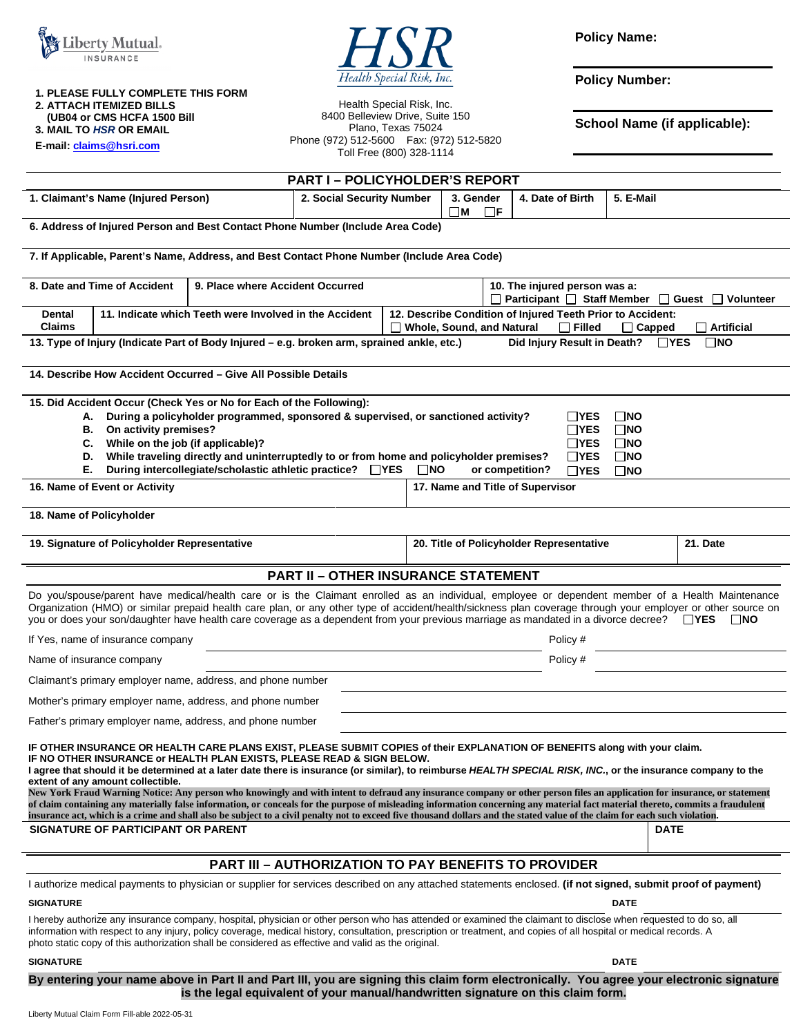



**Policy Name:** 

**Policy Number:** 

**School Name (if applicable):** 

**3. MAIL TO** *HSR* **OR EMAIL E-mail[: claims@hsri.com](mailto:claims@hsri.com)**

**2. ATTACH ITEMIZED BILLS (UB04 or CMS HCFA 1500 Bill** 

**1. PLEASE FULLY COMPLETE THIS FORM** 

Health Special Risk, Inc. 8400 Belleview Drive, Suite 150 Plano, Texas 75024 Phone (972) 512-5600 Fax: (972) 512-5820 Toll Free (800) 328-1114

| <b>PART I - POLICYHOLDER'S REPORT</b>                                                                  |                           |                              |                  |           |
|--------------------------------------------------------------------------------------------------------|---------------------------|------------------------------|------------------|-----------|
| 1. Claimant's Name (Injured Person)                                                                    | 2. Social Security Number | 3. Gender<br>□F.<br>$\neg$ M | 4. Date of Birth | 5. E-Mail |
| . A deliberar af betegne i Massache en il March Archives Monte de la contrata della Marchives Archives |                           |                              |                  |           |

**6. Address of Injured Person and Best Contact Phone Number (Include Area Code)** 

**7. If Applicable, Parent's Name, Address, and Best Contact Phone Number (Include Area Code)** 

| 8. Date and Time of Accident<br>9. Place where Accident Occurred                                                                                        |                                                        |  | 10. The injured person was a:                              |                                                                               |  |
|---------------------------------------------------------------------------------------------------------------------------------------------------------|--------------------------------------------------------|--|------------------------------------------------------------|-------------------------------------------------------------------------------|--|
|                                                                                                                                                         |                                                        |  |                                                            | □ Participant □ Staff Member □ Guest □ Volunteer                              |  |
| <b>Dental</b>                                                                                                                                           | 11. Indicate which Teeth were Involved in the Accident |  | 12. Describe Condition of Injured Teeth Prior to Accident: |                                                                               |  |
| <b>Claims</b>                                                                                                                                           |                                                        |  |                                                            | $\Box$ Whole, Sound, and Natural $\Box$ Filled<br>Capped<br>$\Box$ Artificial |  |
| $\square$ NO<br>Did Injury Result in Death?<br>$\Box$ YES<br>13. Type of Injury (Indicate Part of Body Injured – e.g. broken arm, sprained ankle, etc.) |                                                        |  |                                                            |                                                                               |  |
|                                                                                                                                                         |                                                        |  |                                                            |                                                                               |  |
| 14. Describe How Accident Occurred – Give All Possible Details                                                                                          |                                                        |  |                                                            |                                                                               |  |

**15. Did Accident Occur (Check Yes or No for Each of the Following):** 

|                               | A. During a policyholder programmed, sponsored & supervised, or sanctioned activity?       |                                  |              | ∃NO        |
|-------------------------------|--------------------------------------------------------------------------------------------|----------------------------------|--------------|------------|
| В.                            | On activity premises?                                                                      |                                  |              | ∃NO        |
|                               | C. While on the job (if applicable)?                                                       |                                  |              | . ⊓no      |
|                               | D. While traveling directly and uninterruptedly to or from home and policyholder premises? |                                  |              | ∃NO        |
| Е.                            | During intercollegiate/scholastic athletic practice? □ YES                                 | ∃NO<br>or competition?           | $\sqcap$ YES | <b>TNO</b> |
| 16. Name of Event or Activity |                                                                                            | 17. Name and Title of Supervisor |              |            |
|                               |                                                                                            |                                  |              |            |

**18. Name of Policyholder** 

**19. Signature of Policyholder Representative 20. Title of Policyholder Representative 21. Date** 

### **PART II – OTHER INSURANCE STATEMENT**

Do you/spouse/parent have medical/health care or is the Claimant enrolled as an individual, employee or dependent member of a Health Maintenance Organization (HMO) or similar prepaid health care plan, or any other type of accident/health/sickness plan coverage through your employer or other source on you or does your son/daughter have health care coverage as a dependent from your previous marriage as mandated in a divorce decree? **YES NO**

| If Yes, name of insurance company                           | Policy # |
|-------------------------------------------------------------|----------|
| Name of insurance company                                   | Policy # |
| Claimant's primary employer name, address, and phone number |          |
| Mother's primary employer name, address, and phone number   |          |
| Father's primary employer name, address, and phone number   |          |

**IF OTHER INSURANCE OR HEALTH CARE PLANS EXIST, PLEASE SUBMIT COPIES of their EXPLANATION OF BENEFITS along with your claim. IF NO OTHER INSURANCE or HEALTH PLAN EXISTS, PLEASE READ & SIGN BELOW.** 

I agree that should it be determined at a later date there is insurance (or similar), to reimburse HEALTH SPECIAL RISK, INC., or the insurance company to the **extent of any amount collectible.** 

**New York Fraud Warning Notice: Any person who knowingly and with intent to defraud any insurance company or other person files an application for insurance, or statement of claim containing any materially false information, or conceals for the purpose of misleading information concerning any material fact material thereto, commits a fraudulent insurance act, which is a crime and shall also be subject to a civil penalty not to exceed five thousand dollars and the stated value of the claim for each such violation. SIGNATURE OF PARTICIPANT OR PARENT DATE** 

### **PART III – AUTHORIZATION TO PAY BENEFITS TO PROVIDER**

I authorize medical payments to physician or supplier for services described on any attached statements enclosed. **(if not signed, submit proof of payment)** 

**SIGNATURE DATE** DATE DATE AND SERVICE SERVICE SERVICE SERVICE SERVICE SERVICE SERVICE SERVICE SERVICE SERVICE SERVICE SERVICE SERVICE SERVICE SERVICE SERVICE SERVICE SERVICE SERVICE SERVICE SERVICE SERVICE SERVICE SERVICE

I hereby authorize any insurance company, hospital, physician or other person who has attended or examined the claimant to disclose when requested to do so, all information with respect to any injury, policy coverage, medical history, consultation, prescription or treatment, and copies of all hospital or medical records. A photo static copy of this authorization shall be considered as effective and valid as the original.

#### **SIGNATURE DATE** DATE DATE OF A SERIES AND SERIES OF A SERIES OF A SERIES OF A SERIES OF A SERIES OF A SERIES OF A SERIES OF A SERIES OF A SERIES OF A SERIES OF A SERIES OF A SERIES OF A SERIES OF A SERIES OF A SERIES OF A

**By entering your name above in Part II and Part III, you are signing this claim form electronically. You agree your electronic signature is the legal equivalent of your manual/handwritten signature on this claim form.**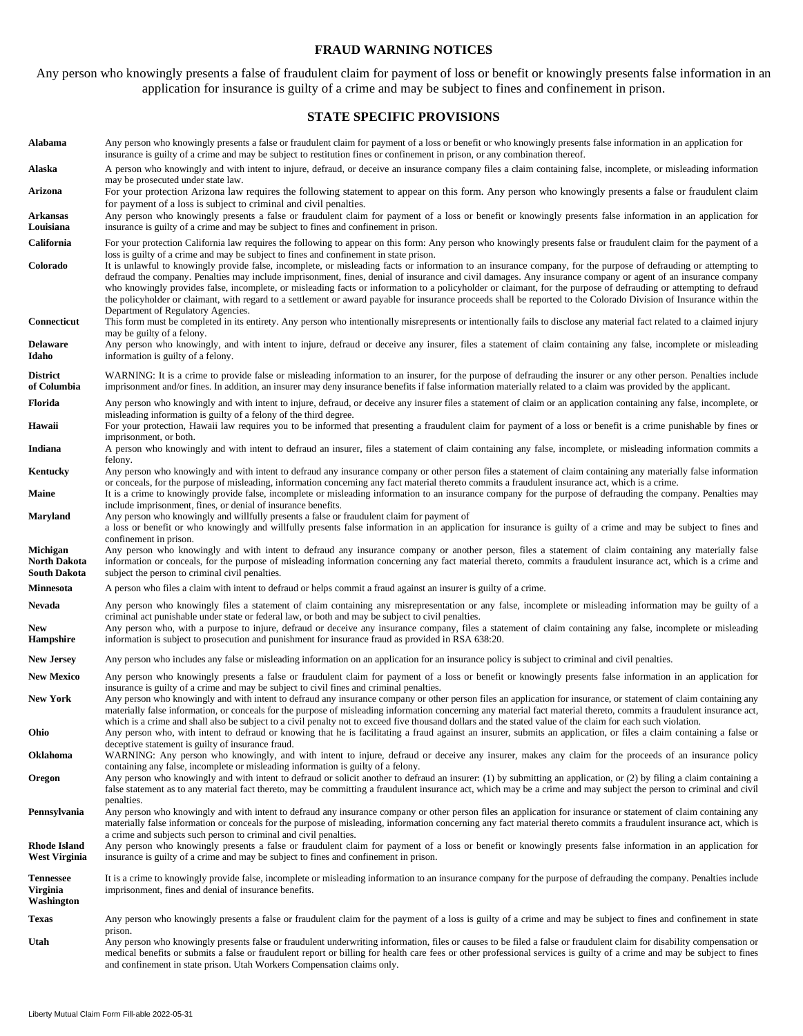#### **FRAUD WARNING NOTICES**

Any person who knowingly presents a false of fraudulent claim for payment of loss or benefit or knowingly presents false information in an application for insurance is guilty of a crime and may be subject to fines and confinement in prison.

#### **STATE SPECIFIC PROVISIONS**

**Alabama** Any person who knowingly presents a false or fraudulent claim for payment of a loss or benefit or who knowingly presents false information in an application for insurance is guilty of a crime and may be subject to restitution fines or confinement in prison, or any combination thereof. **Alaska** A person who knowingly and with intent to injure, defraud, or deceive an insurance company files a claim containing false, incomplete, or misleading information may be prosecuted under state law. **Arizona** For your protection Arizona law requires the following statement to appear on this form. Any person who knowingly presents a false or fraudulent claim for payment of a loss is subject to criminal and civil penalties. **Arkansas Louisiana**  Any person who knowingly presents a false or fraudulent claim for payment of a loss or benefit or knowingly presents false information in an application for insurance is guilty of a crime and may be subject to fines and confinement in prison. California For your protection California law requires the following to appear on this form: Any person who knowingly presents false or fraudulent claim for the payment of a loss is guilty of a crime and may be subject to fines and confinement in state prison. **Colorado** It is unlawful to knowingly provide false, incomplete, or misleading facts or information to an insurance company, for the purpose of defrauding or attempting to defraud the company. Penalties may include imprisonment, fines, denial of insurance and civil damages. Any insurance company or agent of an insurance company who knowingly provides false, incomplete, or misleading facts or information to a policyholder or claimant, for the purpose of defrauding or attempting to defraud the policyholder or claimant, with regard to a settlement or award payable for insurance proceeds shall be reported to the Colorado Division of Insurance within the Department of Regulatory Agencies. **Connecticut** This form must be completed in its entirety. Any person who intentionally misrepresents or intentionally fails to disclose any material fact related to a claimed injury may be guilty of a felony. **Delaware Idaho**  Any person who knowingly, and with intent to injure, defraud or deceive any insurer, files a statement of claim containing any false, incomplete or misleading information is guilty of a felony. **District of Columbia**  WARNING: It is a crime to provide false or misleading information to an insurer, for the purpose of defrauding the insurer or any other person. Penalties include imprisonment and/or fines. In addition, an insurer may deny insurance benefits if false information materially related to a claim was provided by the applicant. Florida Any person who knowingly and with intent to injure, defraud, or deceive any insurer files a statement of claim or an application containing any false, incomplete, or misleading information is guilty of a felony of the third degree. Hawaii For your protection, Hawaii law requires you to be informed that presenting a fraudulent claim for payment of a loss or benefit is a crime punishable by fines or imprisonment, or both. **Indiana** A person who knowingly and with intent to defraud an insurer, files a statement of claim containing any false, incomplete, or misleading information commits a felony. **Kentucky** Any person who knowingly and with intent to defraud any insurance company or other person files a statement of claim containing any materially false information or conceals, for the purpose of misleading, information concerning any fact material thereto commits a fraudulent insurance act, which is a crime. Maine It is a crime to knowingly provide false, incomplete or misleading information to an insurance company for the purpose of defrauding the company. Penalties may include imprisonment, fines, or denial of insurance benefits. **Maryland** Any person who knowingly and willfully presents a false or fraudulent claim for payment of a loss or benefit or who knowingly and willfully presents false information in an application for insurance is guilty of a crime and may be subject to fines and confinement in prison. **Michigan North Dakota South Dakota**  Any person who knowingly and with intent to defraud any insurance company or another person, files a statement of claim containing any materially false information or conceals, for the purpose of misleading information concerning any fact material thereto, commits a fraudulent insurance act, which is a crime and subject the person to criminal civil penalties. **Minnesota** A person who files a claim with intent to defraud or helps commit a fraud against an insurer is guilty of a crime. Nevada Any person who knowingly files a statement of claim containing any misrepresentation or any false, incomplete or misleading information may be guilty of a criminal act punishable under state or federal law, or both and may be subject to civil penalties. **New Hampshire**  Any person who, with a purpose to injure, defraud or deceive any insurance company, files a statement of claim containing any false, incomplete or misleading information is subject to prosecution and punishment for insurance fraud as provided in RSA 638:20. **New Jersey** Any person who includes any false or misleading information on an application for an insurance policy is subject to criminal and civil penalties. New Mexico Any person who knowingly presents a false or fraudulent claim for payment of a loss or benefit or knowingly presents false information in an application for insurance is guilty of a crime and may be subject to civil fines and criminal penalties. New York Any person who knowingly and with intent to defraud any insurance company or other person files an application for insurance, or statement of claim containing any materially false information, or conceals for the purpose of misleading information concerning any material fact material thereto, commits a fraudulent insurance act, which is a crime and shall also be subject to a civil penalty not to exceed five thousand dollars and the stated value of the claim for each such violation. **Ohio** Any person who, with intent to defraud or knowing that he is facilitating a fraud against an insurer, submits an application, or files a claim containing a false or deceptive statement is guilty of insurance fraud. **Oklahoma** WARNING: Any person who knowingly, and with intent to injure, defraud or deceive any insurer, makes any claim for the proceeds of an insurance policy containing any false, incomplete or misleading information is guilty of a felony. **Oregon** Any person who knowingly and with intent to defraud or solicit another to defraud an insurer: (1) by submitting an application, or (2) by filing a claim containing a false statement as to any material fact thereto, may be committing a fraudulent insurance act, which may be a crime and may subject the person to criminal and civil penalties. **Pennsylvania** Any person who knowingly and with intent to defraud any insurance company or other person files an application for insurance or statement of claim containing any materially false information or conceals for the purpose of misleading, information concerning any fact material thereto commits a fraudulent insurance act, which is a crime and subjects such person to criminal and civil penalties. **Rhode Island West Virginia**  Any person who knowingly presents a false or fraudulent claim for payment of a loss or benefit or knowingly presents false information in an application for insurance is guilty of a crime and may be subject to fines and confinement in prison. **Tennessee Virginia Washington**  It is a crime to knowingly provide false, incomplete or misleading information to an insurance company for the purpose of defrauding the company. Penalties include imprisonment, fines and denial of insurance benefits. **Texas** Any person who knowingly presents a false or fraudulent claim for the payment of a loss is guilty of a crime and may be subject to fines and confinement in state prison. **Utah** Any person who knowingly presents false or fraudulent underwriting information, files or causes to be filed a false or fraudulent claim for disability compensation or medical benefits or submits a false or fraudulent report or billing for health care fees or other professional services is guilty of a crime and may be subject to fines and confinement in state prison. Utah Workers Compensation claims only.